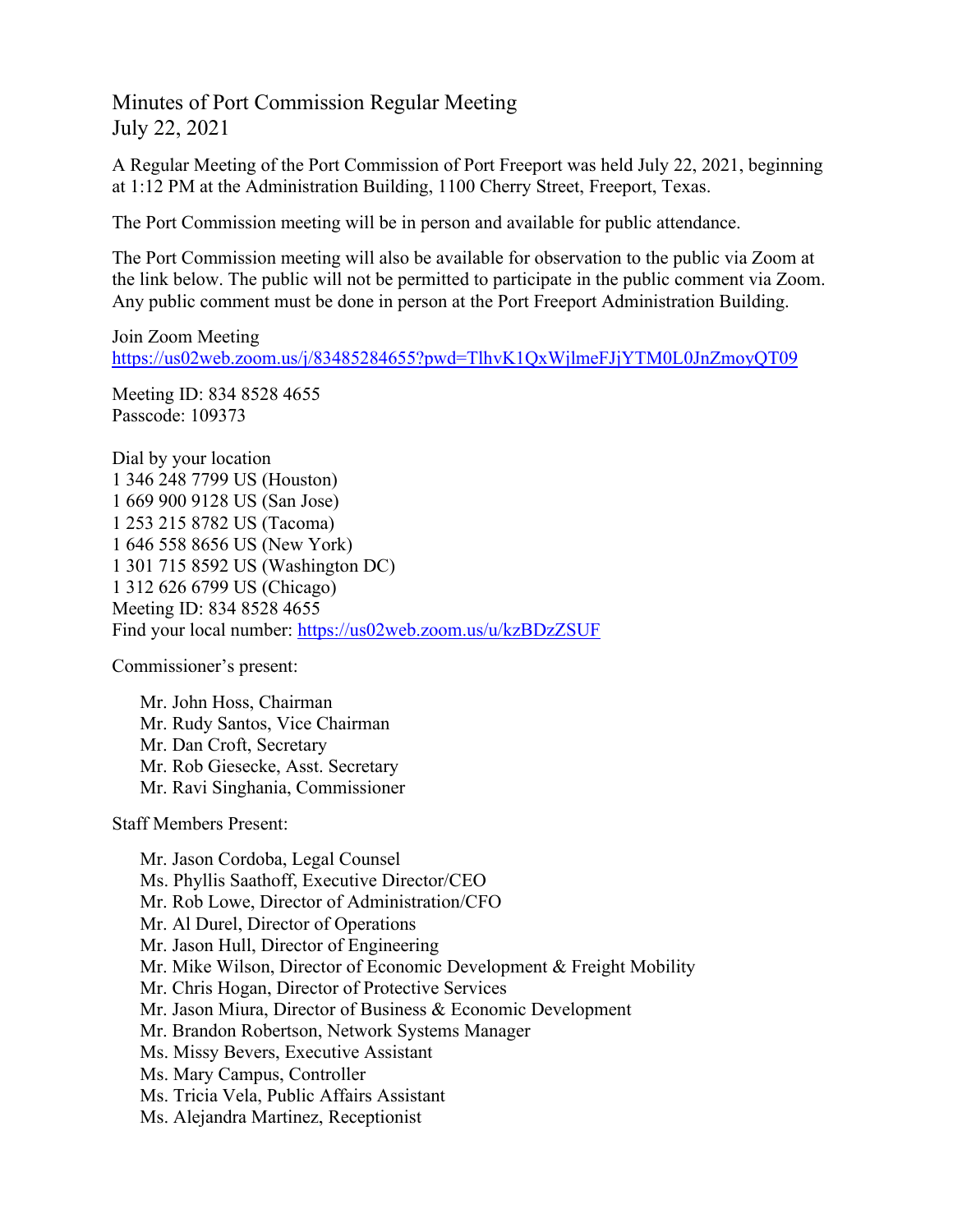Minutes of Port Commission Regular Meeting July 22, 2021

A Regular Meeting of the Port Commission of Port Freeport was held July 22, 2021, beginning at 1:12 PM at the Administration Building, 1100 Cherry Street, Freeport, Texas.

The Port Commission meeting will be in person and available for public attendance.

The Port Commission meeting will also be available for observation to the public via Zoom at the link below. The public will not be permitted to participate in the public comment via Zoom. Any public comment must be done in person at the Port Freeport Administration Building.

Join Zoom Meeting <https://us02web.zoom.us/j/83485284655?pwd=TlhvK1QxWjlmeFJjYTM0L0JnZmoyQT09>

Meeting ID: 834 8528 4655 Passcode: 109373

Dial by your location 1 346 248 7799 US (Houston) 1 669 900 9128 US (San Jose) 1 253 215 8782 US (Tacoma) 1 646 558 8656 US (New York) 1 301 715 8592 US (Washington DC) 1 312 626 6799 US (Chicago) Meeting ID: 834 8528 4655 Find your local number:<https://us02web.zoom.us/u/kzBDzZSUF>

Commissioner's present:

Mr. John Hoss, Chairman Mr. Rudy Santos, Vice Chairman Mr. Dan Croft, Secretary Mr. Rob Giesecke, Asst. Secretary Mr. Ravi Singhania, Commissioner

Staff Members Present:

Mr. Jason Cordoba, Legal Counsel Ms. Phyllis Saathoff, Executive Director/CEO Mr. Rob Lowe, Director of Administration/CFO Mr. Al Durel, Director of Operations Mr. Jason Hull, Director of Engineering Mr. Mike Wilson, Director of Economic Development & Freight Mobility Mr. Chris Hogan, Director of Protective Services Mr. Jason Miura, Director of Business & Economic Development Mr. Brandon Robertson, Network Systems Manager Ms. Missy Bevers, Executive Assistant Ms. Mary Campus, Controller Ms. Tricia Vela, Public Affairs Assistant Ms. Alejandra Martinez, Receptionist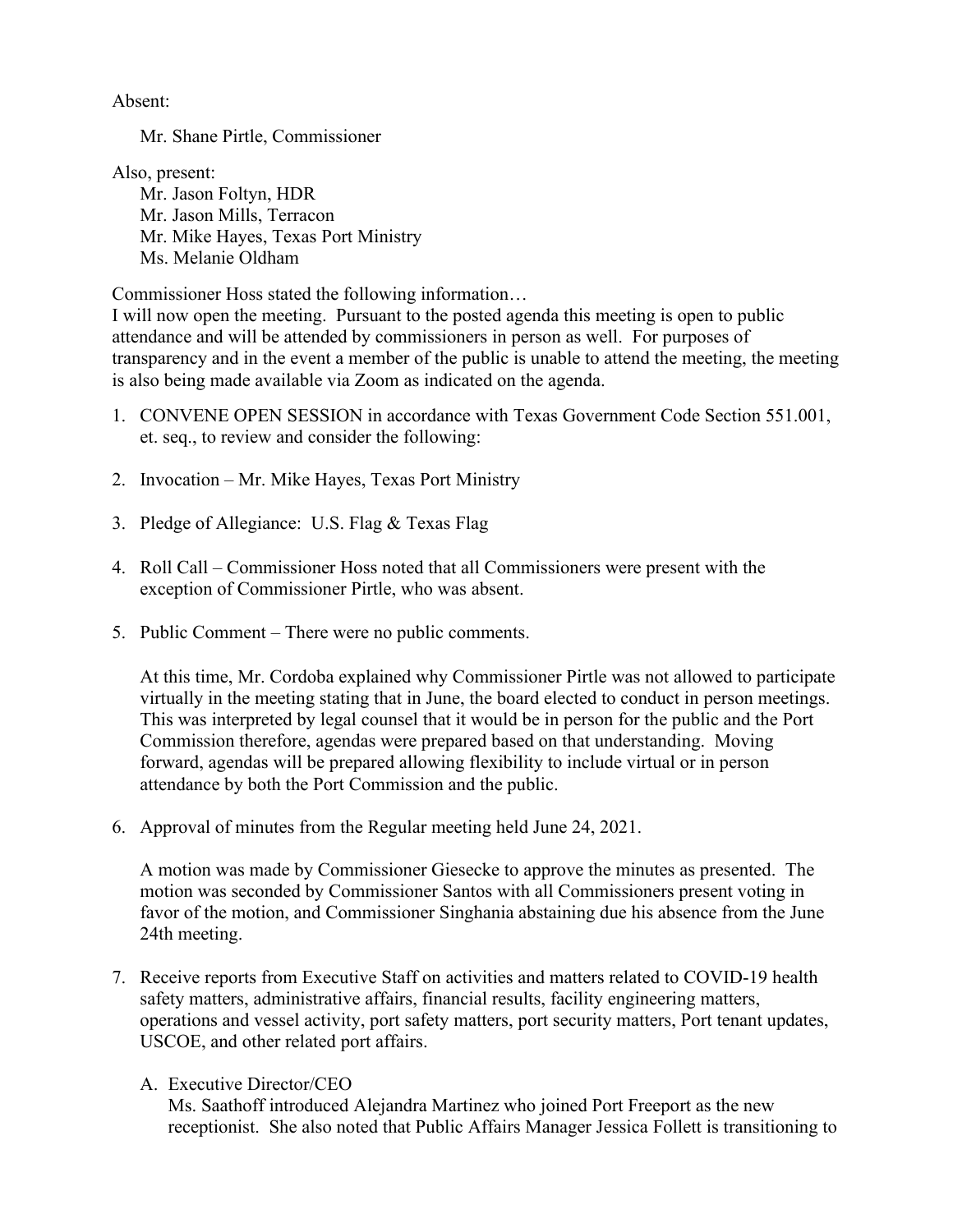Absent:

Mr. Shane Pirtle, Commissioner

Also, present:

Mr. Jason Foltyn, HDR Mr. Jason Mills, Terracon Mr. Mike Hayes, Texas Port Ministry Ms. Melanie Oldham

Commissioner Hoss stated the following information…

I will now open the meeting. Pursuant to the posted agenda this meeting is open to public attendance and will be attended by commissioners in person as well. For purposes of transparency and in the event a member of the public is unable to attend the meeting, the meeting is also being made available via Zoom as indicated on the agenda.

- 1. CONVENE OPEN SESSION in accordance with Texas Government Code Section 551.001, et. seq., to review and consider the following:
- 2. Invocation Mr. Mike Hayes, Texas Port Ministry
- 3. Pledge of Allegiance: U.S. Flag & Texas Flag
- 4. Roll Call Commissioner Hoss noted that all Commissioners were present with the exception of Commissioner Pirtle, who was absent.
- 5. Public Comment There were no public comments.

At this time, Mr. Cordoba explained why Commissioner Pirtle was not allowed to participate virtually in the meeting stating that in June, the board elected to conduct in person meetings. This was interpreted by legal counsel that it would be in person for the public and the Port Commission therefore, agendas were prepared based on that understanding. Moving forward, agendas will be prepared allowing flexibility to include virtual or in person attendance by both the Port Commission and the public.

6. Approval of minutes from the Regular meeting held June 24, 2021.

A motion was made by Commissioner Giesecke to approve the minutes as presented. The motion was seconded by Commissioner Santos with all Commissioners present voting in favor of the motion, and Commissioner Singhania abstaining due his absence from the June 24th meeting.

- 7. Receive reports from Executive Staff on activities and matters related to COVID-19 health safety matters, administrative affairs, financial results, facility engineering matters, operations and vessel activity, port safety matters, port security matters, Port tenant updates, USCOE, and other related port affairs.
	- A. Executive Director/CEO

Ms. Saathoff introduced Alejandra Martinez who joined Port Freeport as the new receptionist. She also noted that Public Affairs Manager Jessica Follett is transitioning to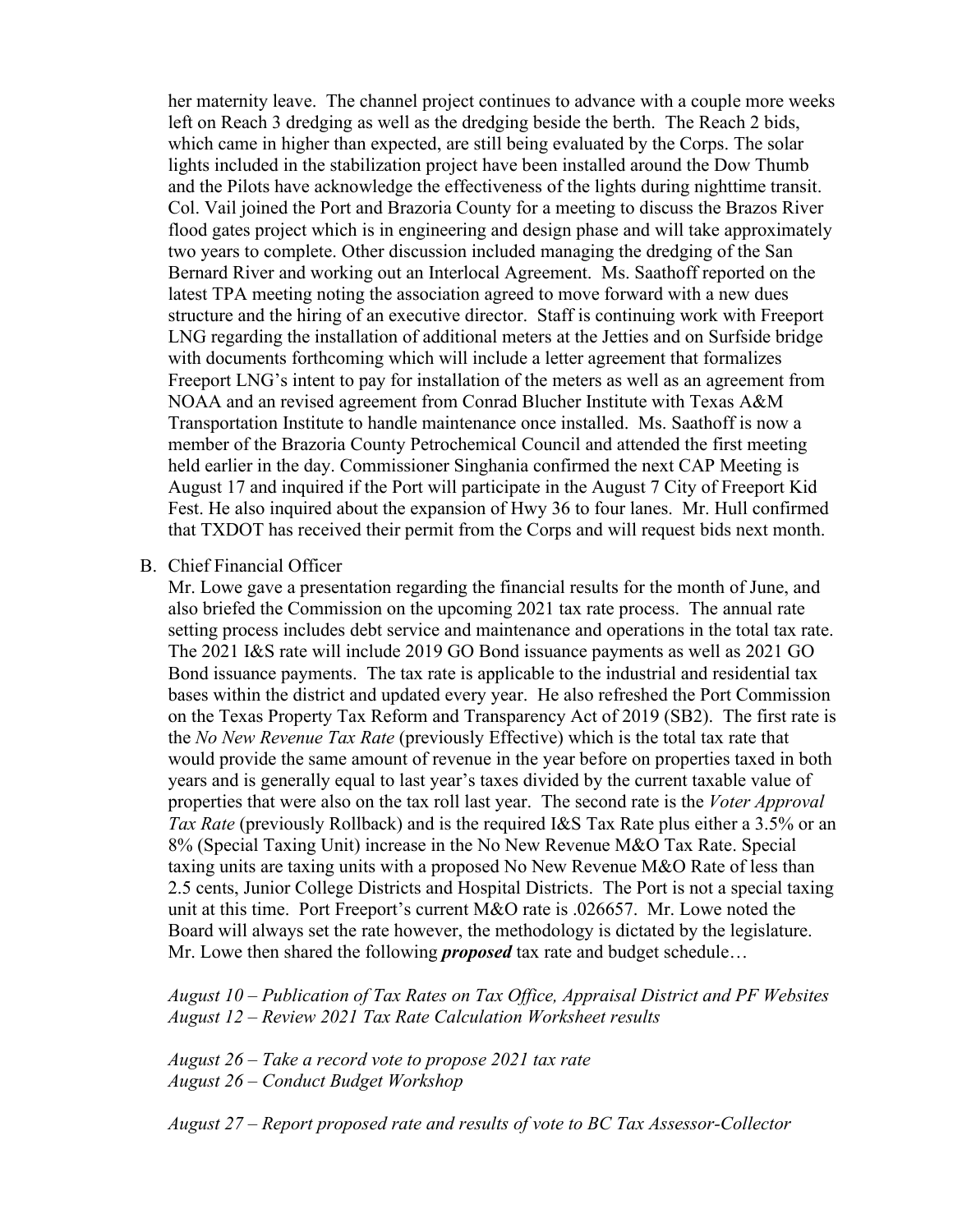her maternity leave. The channel project continues to advance with a couple more weeks left on Reach 3 dredging as well as the dredging beside the berth. The Reach 2 bids, which came in higher than expected, are still being evaluated by the Corps. The solar lights included in the stabilization project have been installed around the Dow Thumb and the Pilots have acknowledge the effectiveness of the lights during nighttime transit. Col. Vail joined the Port and Brazoria County for a meeting to discuss the Brazos River flood gates project which is in engineering and design phase and will take approximately two years to complete. Other discussion included managing the dredging of the San Bernard River and working out an Interlocal Agreement. Ms. Saathoff reported on the latest TPA meeting noting the association agreed to move forward with a new dues structure and the hiring of an executive director. Staff is continuing work with Freeport LNG regarding the installation of additional meters at the Jetties and on Surfside bridge with documents forthcoming which will include a letter agreement that formalizes Freeport LNG's intent to pay for installation of the meters as well as an agreement from NOAA and an revised agreement from Conrad Blucher Institute with Texas A&M Transportation Institute to handle maintenance once installed. Ms. Saathoff is now a member of the Brazoria County Petrochemical Council and attended the first meeting held earlier in the day. Commissioner Singhania confirmed the next CAP Meeting is August 17 and inquired if the Port will participate in the August 7 City of Freeport Kid Fest. He also inquired about the expansion of Hwy 36 to four lanes. Mr. Hull confirmed that TXDOT has received their permit from the Corps and will request bids next month.

## B. Chief Financial Officer

Mr. Lowe gave a presentation regarding the financial results for the month of June, and also briefed the Commission on the upcoming 2021 tax rate process. The annual rate setting process includes debt service and maintenance and operations in the total tax rate. The 2021 I&S rate will include 2019 GO Bond issuance payments as well as 2021 GO Bond issuance payments. The tax rate is applicable to the industrial and residential tax bases within the district and updated every year. He also refreshed the Port Commission on the Texas Property Tax Reform and Transparency Act of 2019 (SB2). The first rate is the *No New Revenue Tax Rate* (previously Effective) which is the total tax rate that would provide the same amount of revenue in the year before on properties taxed in both years and is generally equal to last year's taxes divided by the current taxable value of properties that were also on the tax roll last year. The second rate is the *Voter Approval Tax Rate* (previously Rollback) and is the required I&S Tax Rate plus either a 3.5% or an 8% (Special Taxing Unit) increase in the No New Revenue M&O Tax Rate. Special taxing units are taxing units with a proposed No New Revenue M&O Rate of less than 2.5 cents, Junior College Districts and Hospital Districts. The Port is not a special taxing unit at this time. Port Freeport's current M&O rate is .026657. Mr. Lowe noted the Board will always set the rate however, the methodology is dictated by the legislature. Mr. Lowe then shared the following *proposed* tax rate and budget schedule…

*August 10 – Publication of Tax Rates on Tax Office, Appraisal District and PF Websites August 12 – Review 2021 Tax Rate Calculation Worksheet results*

*August 26 – Take a record vote to propose 2021 tax rate August 26 – Conduct Budget Workshop*

*August 27 – Report proposed rate and results of vote to BC Tax Assessor-Collector*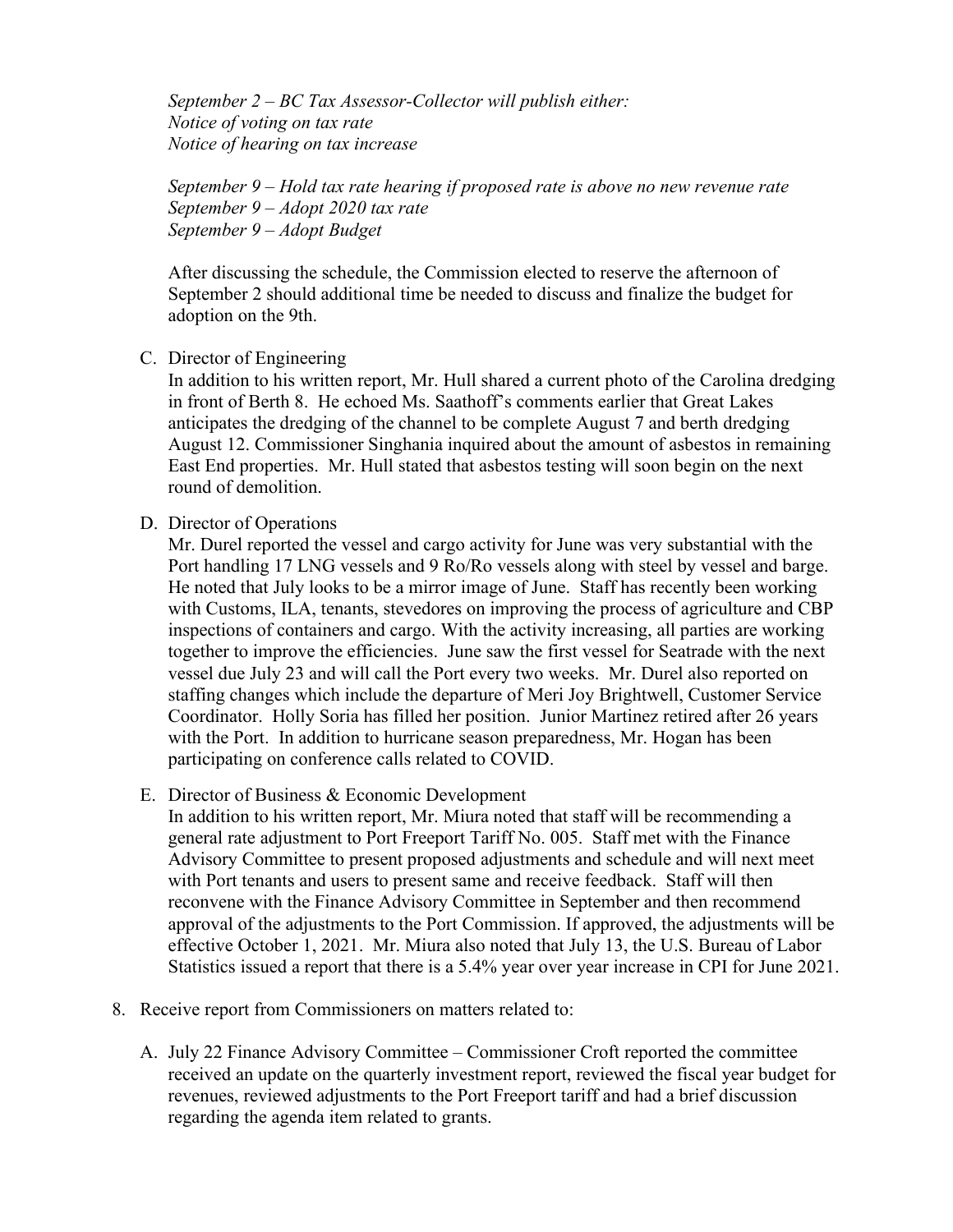*September 2 – BC Tax Assessor-Collector will publish either: Notice of voting on tax rate Notice of hearing on tax increase* 

*September 9 – Hold tax rate hearing if proposed rate is above no new revenue rate September 9 – Adopt 2020 tax rate September 9 – Adopt Budget* 

After discussing the schedule, the Commission elected to reserve the afternoon of September 2 should additional time be needed to discuss and finalize the budget for adoption on the 9th.

C. Director of Engineering

In addition to his written report, Mr. Hull shared a current photo of the Carolina dredging in front of Berth 8. He echoed Ms. Saathoff's comments earlier that Great Lakes anticipates the dredging of the channel to be complete August 7 and berth dredging August 12. Commissioner Singhania inquired about the amount of asbestos in remaining East End properties. Mr. Hull stated that asbestos testing will soon begin on the next round of demolition.

D. Director of Operations

Mr. Durel reported the vessel and cargo activity for June was very substantial with the Port handling 17 LNG vessels and 9 Ro/Ro vessels along with steel by vessel and barge. He noted that July looks to be a mirror image of June. Staff has recently been working with Customs, ILA, tenants, stevedores on improving the process of agriculture and CBP inspections of containers and cargo. With the activity increasing, all parties are working together to improve the efficiencies. June saw the first vessel for Seatrade with the next vessel due July 23 and will call the Port every two weeks. Mr. Durel also reported on staffing changes which include the departure of Meri Joy Brightwell, Customer Service Coordinator. Holly Soria has filled her position. Junior Martinez retired after 26 years with the Port. In addition to hurricane season preparedness, Mr. Hogan has been participating on conference calls related to COVID.

E. Director of Business & Economic Development

In addition to his written report, Mr. Miura noted that staff will be recommending a general rate adjustment to Port Freeport Tariff No. 005. Staff met with the Finance Advisory Committee to present proposed adjustments and schedule and will next meet with Port tenants and users to present same and receive feedback. Staff will then reconvene with the Finance Advisory Committee in September and then recommend approval of the adjustments to the Port Commission. If approved, the adjustments will be effective October 1, 2021. Mr. Miura also noted that July 13, the U.S. Bureau of Labor Statistics issued a report that there is a 5.4% year over year increase in CPI for June 2021.

- 8. Receive report from Commissioners on matters related to:
	- A. July 22 Finance Advisory Committee Commissioner Croft reported the committee received an update on the quarterly investment report, reviewed the fiscal year budget for revenues, reviewed adjustments to the Port Freeport tariff and had a brief discussion regarding the agenda item related to grants.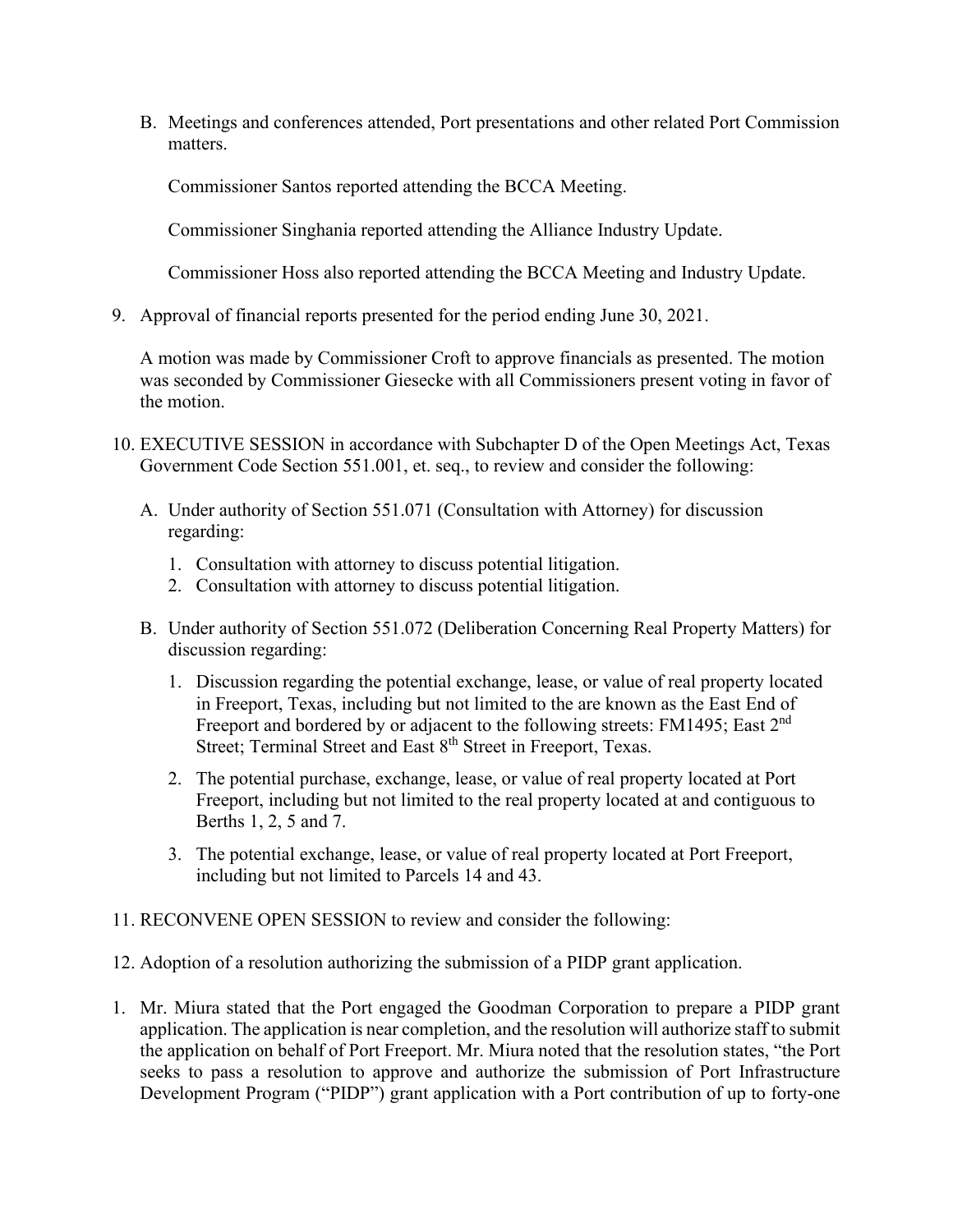B. Meetings and conferences attended, Port presentations and other related Port Commission matters.

Commissioner Santos reported attending the BCCA Meeting.

Commissioner Singhania reported attending the Alliance Industry Update.

Commissioner Hoss also reported attending the BCCA Meeting and Industry Update.

9. Approval of financial reports presented for the period ending June 30, 2021.

A motion was made by Commissioner Croft to approve financials as presented. The motion was seconded by Commissioner Giesecke with all Commissioners present voting in favor of the motion.

- 10. EXECUTIVE SESSION in accordance with Subchapter D of the Open Meetings Act, Texas Government Code Section 551.001, et. seq., to review and consider the following:
	- A. Under authority of Section 551.071 (Consultation with Attorney) for discussion regarding:
		- 1. Consultation with attorney to discuss potential litigation.
		- 2. Consultation with attorney to discuss potential litigation.
	- B. Under authority of Section 551.072 (Deliberation Concerning Real Property Matters) for discussion regarding:
		- 1. Discussion regarding the potential exchange, lease, or value of real property located in Freeport, Texas, including but not limited to the are known as the East End of Freeport and bordered by or adjacent to the following streets: FM1495; East 2<sup>nd</sup> Street; Terminal Street and East 8<sup>th</sup> Street in Freeport, Texas.
		- 2. The potential purchase, exchange, lease, or value of real property located at Port Freeport, including but not limited to the real property located at and contiguous to Berths 1, 2, 5 and 7.
		- 3. The potential exchange, lease, or value of real property located at Port Freeport, including but not limited to Parcels 14 and 43.
- 11. RECONVENE OPEN SESSION to review and consider the following:
- 12. Adoption of a resolution authorizing the submission of a PIDP grant application.
- 1. Mr. Miura stated that the Port engaged the Goodman Corporation to prepare a PIDP grant application. The application is near completion, and the resolution will authorize staff to submit the application on behalf of Port Freeport. Mr. Miura noted that the resolution states, "the Port seeks to pass a resolution to approve and authorize the submission of Port Infrastructure Development Program ("PIDP") grant application with a Port contribution of up to forty-one